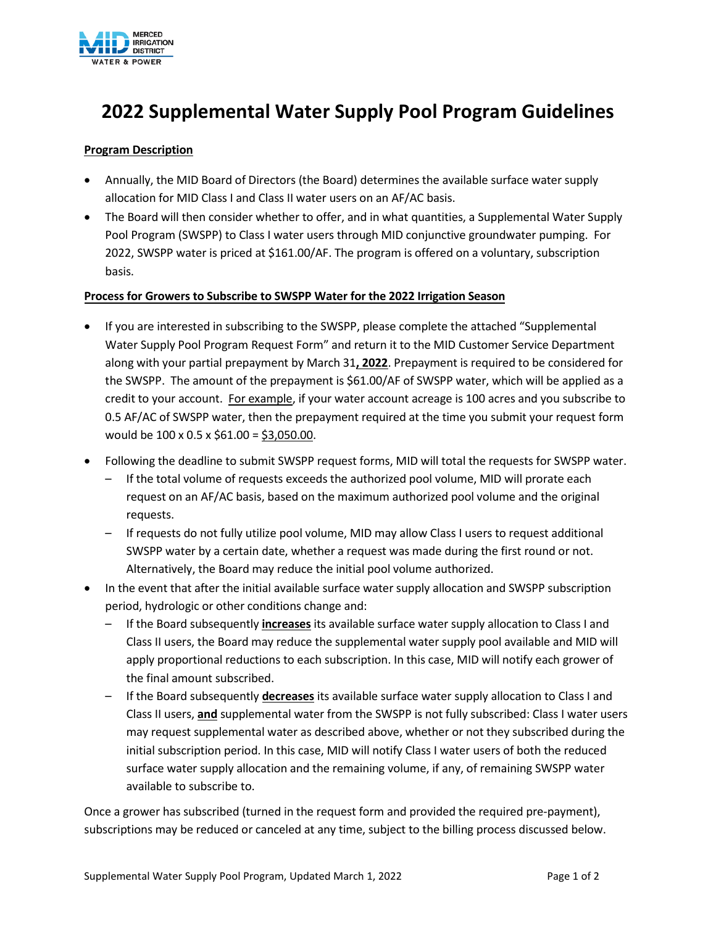

### **2022 Supplemental Water Supply Pool Program Guidelines**

#### **Program Description**

- Annually, the MID Board of Directors (the Board) determines the available surface water supply allocation for MID Class I and Class II water users on an AF/AC basis.
- The Board will then consider whether to offer, and in what quantities, a Supplemental Water Supply Pool Program (SWSPP) to Class I water users through MID conjunctive groundwater pumping. For 2022, SWSPP water is priced at \$161.00/AF. The program is offered on a voluntary, subscription basis.

#### **Process for Growers to Subscribe to SWSPP Water for the 2022 Irrigation Season**

- If you are interested in subscribing to the SWSPP, please complete the attached "Supplemental Water Supply Pool Program Request Form" and return it to the MID Customer Service Department along with your partial prepayment by March 31**, 2022**. Prepayment is required to be considered for the SWSPP. The amount of the prepayment is \$61.00/AF of SWSPP water, which will be applied as a credit to your account. For example, if your water account acreage is 100 acres and you subscribe to 0.5 AF/AC of SWSPP water, then the prepayment required at the time you submit your request form would be 100 x 0.5 x \$61.00 = \$3,050.00.
- Following the deadline to submit SWSPP request forms, MID will total the requests for SWSPP water.
	- If the total volume of requests exceeds the authorized pool volume, MID will prorate each request on an AF/AC basis, based on the maximum authorized pool volume and the original requests.
	- If requests do not fully utilize pool volume, MID may allow Class I users to request additional SWSPP water by a certain date, whether a request was made during the first round or not. Alternatively, the Board may reduce the initial pool volume authorized.
- In the event that after the initial available surface water supply allocation and SWSPP subscription period, hydrologic or other conditions change and:
	- If the Board subsequently **increases** its available surface water supply allocation to Class I and Class II users, the Board may reduce the supplemental water supply pool available and MID will apply proportional reductions to each subscription. In this case, MID will notify each grower of the final amount subscribed.
	- If the Board subsequently **decreases** its available surface water supply allocation to Class I and Class II users, **and** supplemental water from the SWSPP is not fully subscribed: Class I water users may request supplemental water as described above, whether or not they subscribed during the initial subscription period. In this case, MID will notify Class I water users of both the reduced surface water supply allocation and the remaining volume, if any, of remaining SWSPP water available to subscribe to.

Once a grower has subscribed (turned in the request form and provided the required pre-payment), subscriptions may be reduced or canceled at any time, subject to the billing process discussed below.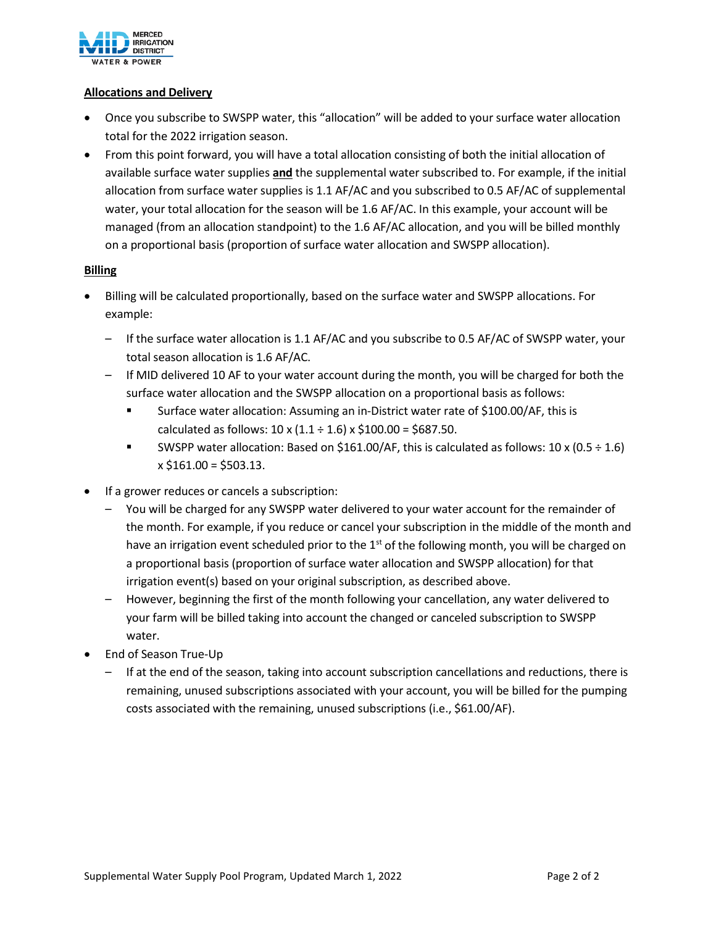

#### **Allocations and Delivery**

- Once you subscribe to SWSPP water, this "allocation" will be added to your surface water allocation total for the 2022 irrigation season.
- From this point forward, you will have a total allocation consisting of both the initial allocation of available surface water supplies **and** the supplemental water subscribed to. For example, if the initial allocation from surface water supplies is 1.1 AF/AC and you subscribed to 0.5 AF/AC of supplemental water, your total allocation for the season will be 1.6 AF/AC. In this example, your account will be managed (from an allocation standpoint) to the 1.6 AF/AC allocation, and you will be billed monthly on a proportional basis (proportion of surface water allocation and SWSPP allocation).

#### **Billing**

- Billing will be calculated proportionally, based on the surface water and SWSPP allocations. For example:
	- If the surface water allocation is 1.1 AF/AC and you subscribe to 0.5 AF/AC of SWSPP water, your total season allocation is 1.6 AF/AC.
	- If MID delivered 10 AF to your water account during the month, you will be charged for both the surface water allocation and the SWSPP allocation on a proportional basis as follows:
		- Surface water allocation: Assuming an in-District water rate of \$100.00/AF, this is calculated as follows:  $10 \times (1.1 \div 1.6) \times \frac{100.00}{100.00} = $687.50$ .
		- SWSPP water allocation: Based on \$161.00/AF, this is calculated as follows:  $10 \times (0.5 \div 1.6)$  $x$  \$161.00 = \$503.13.
- If a grower reduces or cancels a subscription:
	- You will be charged for any SWSPP water delivered to your water account for the remainder of the month. For example, if you reduce or cancel your subscription in the middle of the month and have an irrigation event scheduled prior to the  $1<sup>st</sup>$  of the following month, you will be charged on a proportional basis (proportion of surface water allocation and SWSPP allocation) for that irrigation event(s) based on your original subscription, as described above.
	- However, beginning the first of the month following your cancellation, any water delivered to your farm will be billed taking into account the changed or canceled subscription to SWSPP water.
- End of Season True-Up
	- If at the end of the season, taking into account subscription cancellations and reductions, there is remaining, unused subscriptions associated with your account, you will be billed for the pumping costs associated with the remaining, unused subscriptions (i.e., \$61.00/AF).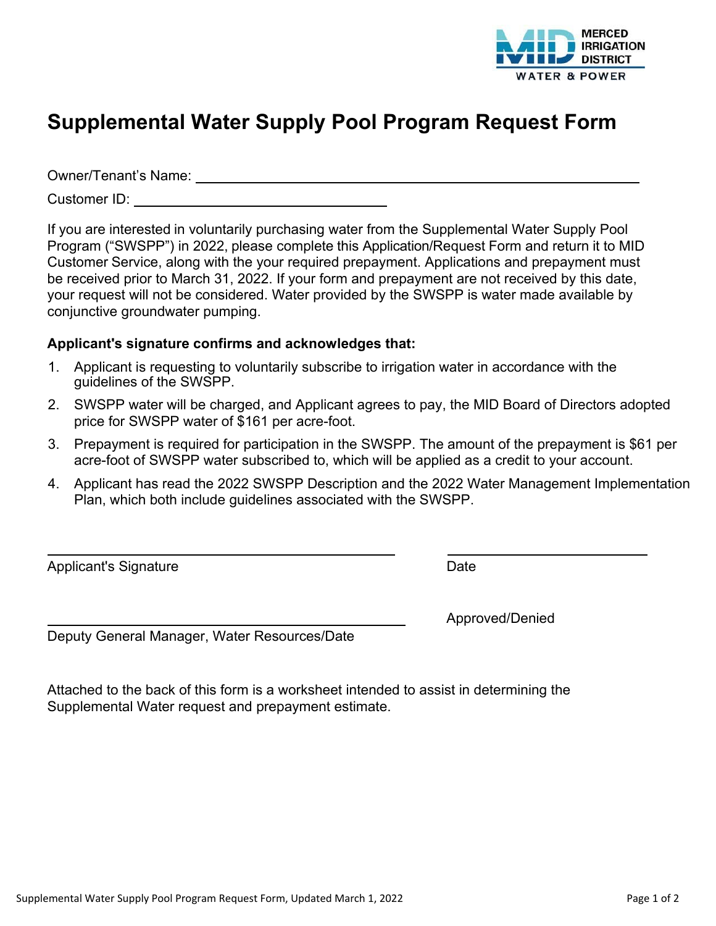

# **Supplemental Water Supply Pool Program Request Form**

Owner/Tenant's Name:

Customer ID:

If you are interested in voluntarily purchasing water from the Supplemental Water Supply Pool Program ("SWSPP") in 2022, please complete this Application/Request Form and return it to MID Customer Service, along with the your required prepayment. Applications and prepayment must be received prior to March 31, 2022. If your form and prepayment are not received by this date, your request will not be considered. Water provided by the SWSPP is water made available by conjunctive groundwater pumping.

### **Applicant's signature confirms and acknowledges that:**

- 1. Applicant is requesting to voluntarily subscribe to irrigation water in accordance with the guidelines of the SWSPP.
- 2. SWSPP water will be charged, and Applicant agrees to pay, the MID Board of Directors adopted price for SWSPP water of \$161 per acre-foot.
- 3. Prepayment is required for participation in the SWSPP. The amount of the prepayment is \$61 per acre-foot of SWSPP water subscribed to, which will be applied as a credit to your account.
- 4. Applicant has read the 2022 SWSPP Description and the 2022 Water Management Implementation Plan, which both include guidelines associated with the SWSPP.

Applicant's Signature **Date** Date **Date** 

 $\overline{a}$ 

Approved/Denied

Deputy General Manager, Water Resources/Date

Attached to the back of this form is a worksheet intended to assist in determining the Supplemental Water request and prepayment estimate.